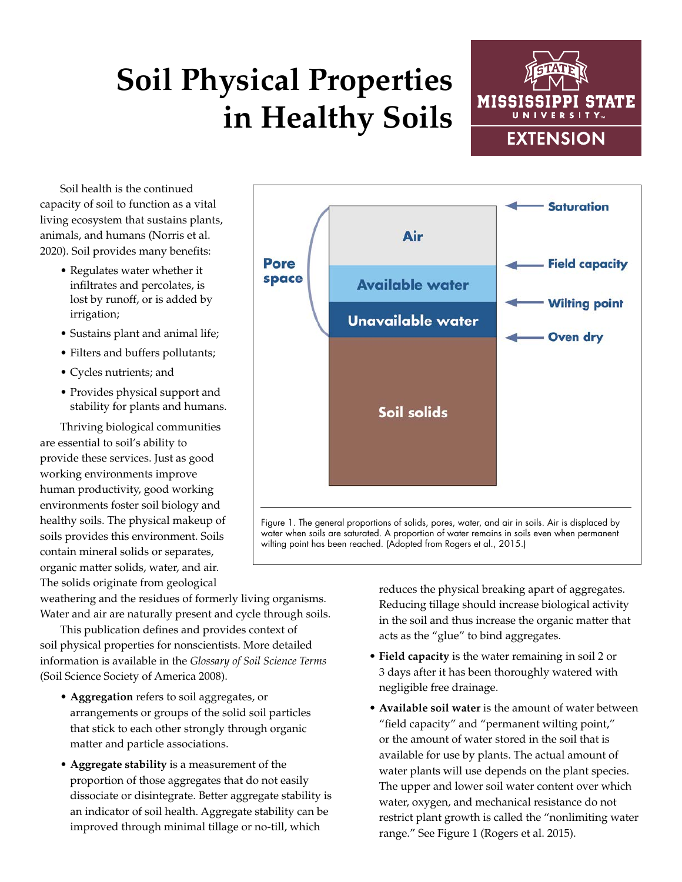## **Soil Physical Properties in Healthy Soils**



Soil health is the continued capacity of soil to function as a vital living ecosystem that sustains plants, animals, and humans (Norris et al. 2020). Soil provides many benefits:

- Regulates water whether it infiltrates and percolates, is lost by runoff, or is added by irrigation;
- Sustains plant and animal life;
- Filters and buffers pollutants;
- Cycles nutrients; and
- Provides physical support and stability for plants and humans.

Thriving biological communities are essential to soil's ability to provide these services. Just as good working environments improve human productivity, good working environments foster soil biology and healthy soils. The physical makeup of soils provides this environment. Soils contain mineral solids or separates, organic matter solids, water, and air. The solids originate from geological

weathering and the residues of formerly living organisms. Water and air are naturally present and cycle through soils.

This publication defines and provides context of soil physical properties for nonscientists. More detailed information is available in the *Glossary of Soil Science Terms* (Soil Science Society of America 2008).

- **• Aggregation** refers to soil aggregates, or arrangements or groups of the solid soil particles that stick to each other strongly through organic matter and particle associations.
- **• Aggregate stability** is a measurement of the proportion of those aggregates that do not easily dissociate or disintegrate. Better aggregate stability is an indicator of soil health. Aggregate stability can be improved through minimal tillage or no-till, which

reduces the physical breaking apart of aggregates. Reducing tillage should increase biological activity in the soil and thus increase the organic matter that acts as the "glue" to bind aggregates.

- **• Field capacity** is the water remaining in soil 2 or 3 days after it has been thoroughly watered with negligible free drainage.
- **• Available soil water** is the amount of water between "field capacity" and "permanent wilting point," or the amount of water stored in the soil that is available for use by plants. The actual amount of water plants will use depends on the plant species. The upper and lower soil water content over which water, oxygen, and mechanical resistance do not restrict plant growth is called the "nonlimiting water range." See Figure 1 (Rogers et al. 2015).



water when soils are saturated. A proportion of water remains in soils even when permanent wilting point has been reached. (Adopted from Rogers et al., 2015.)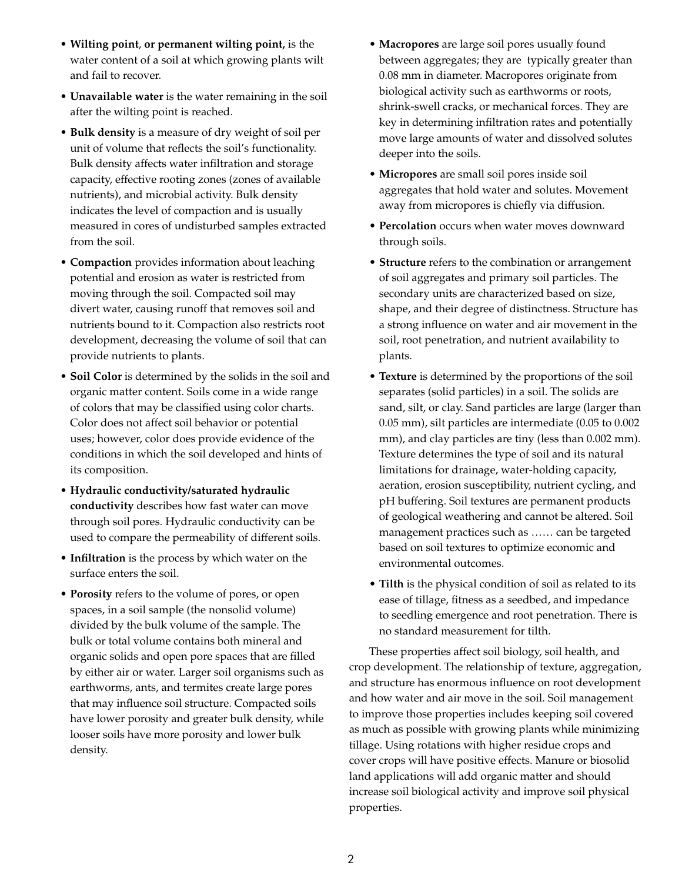- **• Wilting point**, **or permanent wilting point,** is the water content of a soil at which growing plants wilt and fail to recover.
- **• Unavailable water** is the water remaining in the soil after the wilting point is reached.
- **• Bulk density** is a measure of dry weight of soil per unit of volume that reflects the soil's functionality. Bulk density affects water infiltration and storage capacity, effective rooting zones (zones of available nutrients), and microbial activity. Bulk density indicates the level of compaction and is usually measured in cores of undisturbed samples extracted from the soil.
- **• Compaction** provides information about leaching potential and erosion as water is restricted from moving through the soil. Compacted soil may divert water, causing runoff that removes soil and nutrients bound to it. Compaction also restricts root development, decreasing the volume of soil that can provide nutrients to plants.
- **• Soil Color** is determined by the solids in the soil and organic matter content. Soils come in a wide range of colors that may be classified using color charts. Color does not affect soil behavior or potential uses; however, color does provide evidence of the conditions in which the soil developed and hints of its composition.
- **• Hydraulic conductivity/saturated hydraulic conductivity** describes how fast water can move through soil pores. Hydraulic conductivity can be used to compare the permeability of different soils.
- **• Infiltration** is the process by which water on the surface enters the soil.
- **• Porosity** refers to the volume of pores, or open spaces, in a soil sample (the nonsolid volume) divided by the bulk volume of the sample. The bulk or total volume contains both mineral and organic solids and open pore spaces that are filled by either air or water. Larger soil organisms such as earthworms, ants, and termites create large pores that may influence soil structure. Compacted soils have lower porosity and greater bulk density, while looser soils have more porosity and lower bulk density.
- **• Macropores** are large soil pores usually found between aggregates; they are typically greater than 0.08 mm in diameter. Macropores originate from biological activity such as earthworms or roots, shrink-swell cracks, or mechanical forces. They are key in determining infiltration rates and potentially move large amounts of water and dissolved solutes deeper into the soils.
- **• Micropores** are small soil pores inside soil aggregates that hold water and solutes. Movement away from micropores is chiefly via diffusion.
- **• Percolation** occurs when water moves downward through soils.
- **• Structure** refers to the combination or arrangement of soil aggregates and primary soil particles. The secondary units are characterized based on size, shape, and their degree of distinctness. Structure has a strong influence on water and air movement in the soil, root penetration, and nutrient availability to plants.
- **• Texture** is determined by the proportions of the soil separates (solid particles) in a soil. The solids are sand, silt, or clay. Sand particles are large (larger than 0.05 mm), silt particles are intermediate (0.05 to 0.002 mm), and clay particles are tiny (less than 0.002 mm). Texture determines the type of soil and its natural limitations for drainage, water-holding capacity, aeration, erosion susceptibility, nutrient cycling, and pH buffering. Soil textures are permanent products of geological weathering and cannot be altered. Soil management practices such as …… can be targeted based on soil textures to optimize economic and environmental outcomes.
- **• Tilth** is the physical condition of soil as related to its ease of tillage, fitness as a seedbed, and impedance to seedling emergence and root penetration. There is no standard measurement for tilth.

These properties affect soil biology, soil health, and crop development. The relationship of texture, aggregation, and structure has enormous influence on root development and how water and air move in the soil. Soil management to improve those properties includes keeping soil covered as much as possible with growing plants while minimizing tillage. Using rotations with higher residue crops and cover crops will have positive effects. Manure or biosolid land applications will add organic matter and should increase soil biological activity and improve soil physical properties.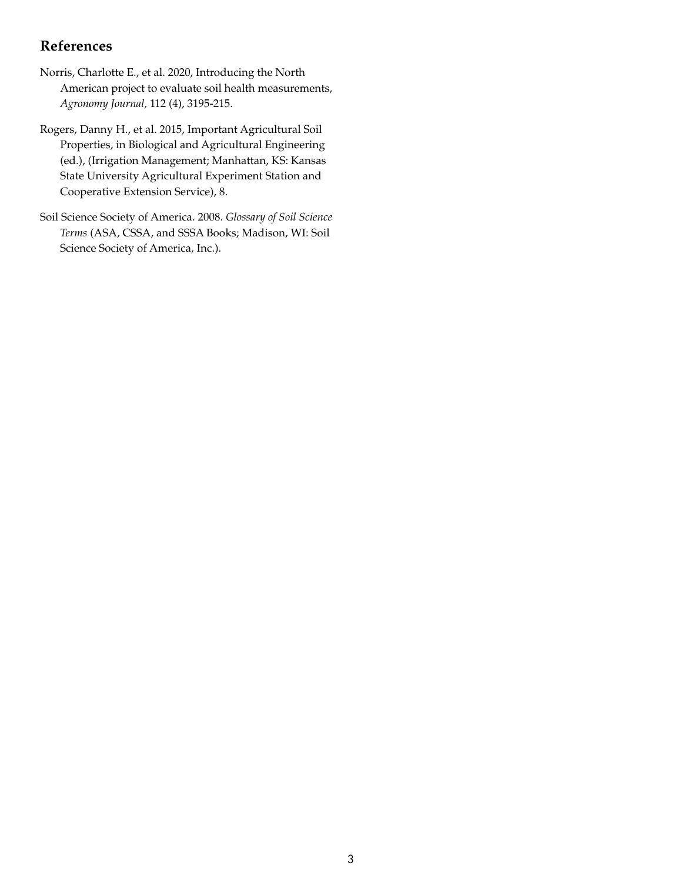## **References**

- Norris, Charlotte E., et al. 2020, Introducing the North American project to evaluate soil health measurements, *Agronomy Journal,* 112 (4), 3195-215.
- Rogers, Danny H., et al. 2015, Important Agricultural Soil Properties, in Biological and Agricultural Engineering (ed.), (Irrigation Management; Manhattan, KS: Kansas State University Agricultural Experiment Station and Cooperative Extension Service), 8.
- Soil Science Society of America. 2008. *Glossary of Soil Science Terms* (ASA, CSSA, and SSSA Books; Madison, WI: Soil Science Society of America, Inc.).